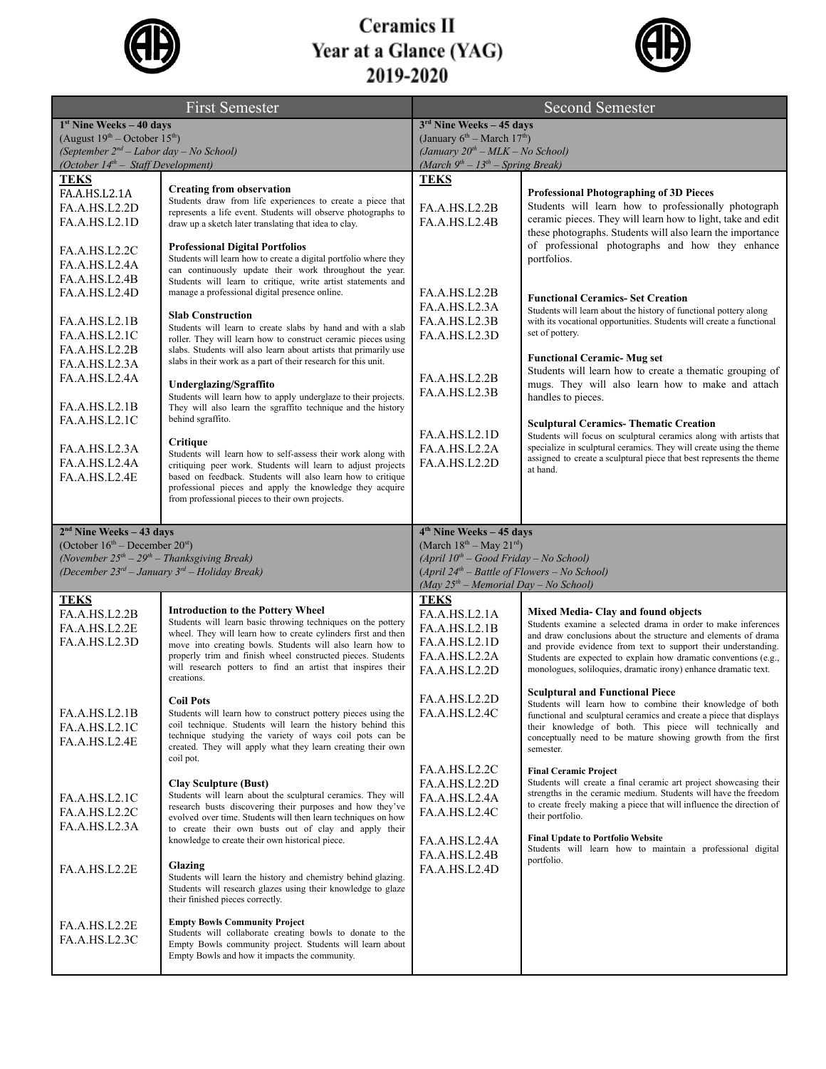

## **Ceramics II Year at a Glance (YAG)**<br>2019-2020



| <b>First Semester</b>                                                                                                        |                                                                                                                                    | <b>Second Semester</b>                                                                     |                                                                                                                                           |  |
|------------------------------------------------------------------------------------------------------------------------------|------------------------------------------------------------------------------------------------------------------------------------|--------------------------------------------------------------------------------------------|-------------------------------------------------------------------------------------------------------------------------------------------|--|
| 1st Nine Weeks - 40 days                                                                                                     |                                                                                                                                    | $3rd$ Nine Weeks - 45 days                                                                 |                                                                                                                                           |  |
| (August $19^{th}$ – October $15^{th}$ )<br>(September 2 <sup>nd</sup> – Labor day – No School)                               |                                                                                                                                    | (January $6th$ – March 17 <sup>th</sup> )<br>(January $20^{th}$ – MLK – No School)         |                                                                                                                                           |  |
| (October $14^{th}$ – Staff Development)                                                                                      |                                                                                                                                    | (March $9^{th} - 13^{th} -$ Spring Break)                                                  |                                                                                                                                           |  |
| <b>TEKS</b>                                                                                                                  | <b>Creating from observation</b>                                                                                                   | <b>TEKS</b>                                                                                |                                                                                                                                           |  |
| FA.A.HS.L2.1A                                                                                                                | Students draw from life experiences to create a piece that                                                                         |                                                                                            | <b>Professional Photographing of 3D Pieces</b><br>Students will learn how to professionally photograph                                    |  |
| FA.A.HS.L2.2D<br>FA.A.HS.L2.1D                                                                                               | represents a life event. Students will observe photographs to<br>draw up a sketch later translating that idea to clay.             | FA.A.HS.L2.2B<br>FA.A.HS.L2.4B                                                             | ceramic pieces. They will learn how to light, take and edit                                                                               |  |
|                                                                                                                              |                                                                                                                                    |                                                                                            | these photographs. Students will also learn the importance                                                                                |  |
| FA.A.HS.L2.2C                                                                                                                | <b>Professional Digital Portfolios</b><br>Students will learn how to create a digital portfolio where they                         |                                                                                            | of professional photographs and how they enhance<br>portfolios.                                                                           |  |
| FA.A.HS.L2.4A                                                                                                                | can continuously update their work throughout the year.                                                                            |                                                                                            |                                                                                                                                           |  |
| FA.A.HS.L2.4B<br>FA.A.HS.L2.4D                                                                                               | Students will learn to critique, write artist statements and<br>manage a professional digital presence online.                     | FA.A.HS.L2.2B                                                                              |                                                                                                                                           |  |
|                                                                                                                              |                                                                                                                                    | FA.A.HS.L2.3A                                                                              | <b>Functional Ceramics- Set Creation</b><br>Students will learn about the history of functional pottery along                             |  |
| FA.A.HS.L2.1B                                                                                                                | <b>Slab Construction</b><br>Students will learn to create slabs by hand and with a slab                                            | FA.A.HS.L2.3B                                                                              | with its vocational opportunities. Students will create a functional                                                                      |  |
| FA.A.HS.L2.1C                                                                                                                | roller. They will learn how to construct ceramic pieces using                                                                      | FA.A.HS.L2.3D                                                                              | set of pottery.                                                                                                                           |  |
| FA.A.HS.L2.2B                                                                                                                | slabs. Students will also learn about artists that primarily use<br>slabs in their work as a part of their research for this unit. |                                                                                            | <b>Functional Ceramic- Mug set</b>                                                                                                        |  |
| FA.A.HS.L2.3A<br>FA.A.HS.L2.4A                                                                                               |                                                                                                                                    | <b>FA.A.HS.L2.2B</b>                                                                       | Students will learn how to create a thematic grouping of                                                                                  |  |
|                                                                                                                              | Underglazing/Sgraffito<br>Students will learn how to apply underglaze to their projects.                                           | FA.A.HS.L2.3B                                                                              | mugs. They will also learn how to make and attach<br>handles to pieces.                                                                   |  |
| FA.A.HS.L2.1B                                                                                                                | They will also learn the sgraffito technique and the history                                                                       |                                                                                            |                                                                                                                                           |  |
| FA.A.HS.L2.1C                                                                                                                | behind sgraffito.                                                                                                                  |                                                                                            | <b>Sculptural Ceramics-Thematic Creation</b>                                                                                              |  |
| FA.A.HS.L2.3A                                                                                                                | Critique                                                                                                                           | FA.A.HS.L2.1D<br>FA.A.HS.L2.2A                                                             | Students will focus on sculptural ceramics along with artists that<br>specialize in sculptural ceramics. They will create using the theme |  |
| FA.A.HS.L2.4A                                                                                                                | Students will learn how to self-assess their work along with<br>critiquing peer work. Students will learn to adjust projects       | FA.A.HS.L2.2D                                                                              | assigned to create a sculptural piece that best represents the theme                                                                      |  |
| FA.A.HS.L2.4E                                                                                                                | based on feedback. Students will also learn how to critique                                                                        |                                                                                            | at hand.                                                                                                                                  |  |
|                                                                                                                              | professional pieces and apply the knowledge they acquire<br>from professional pieces to their own projects.                        |                                                                                            |                                                                                                                                           |  |
|                                                                                                                              |                                                                                                                                    |                                                                                            |                                                                                                                                           |  |
| $2nd$ Nine Weeks - 43 days                                                                                                   |                                                                                                                                    | 4 <sup>th</sup> Nine Weeks - 45 days                                                       |                                                                                                                                           |  |
| (October $16th$ – December $20st$ )                                                                                          |                                                                                                                                    | (March $18^{th} -$ May $21^{rd}$ )                                                         |                                                                                                                                           |  |
| (November $25^{th} - 29^{th} -$ Thanksgiving Break)<br>(December 23 <sup>rd</sup> – January 3 <sup>rd</sup> – Holiday Break) |                                                                                                                                    | $(April 10th - Good Friday - No School)$<br>$(April 24th - Battle of Flowers - No School)$ |                                                                                                                                           |  |
|                                                                                                                              |                                                                                                                                    | $(May 25th - Memorial Day - No School)$                                                    |                                                                                                                                           |  |
| <b>TEKS</b>                                                                                                                  | <b>Introduction to the Pottery Wheel</b>                                                                                           | <b>TEKS</b>                                                                                |                                                                                                                                           |  |
| FA.A.HS.L2.2B<br>FA.A.HS.L2.2E                                                                                               | Students will learn basic throwing techniques on the pottery                                                                       | FA.A.HS.L2.1A<br>FA.A.HS.L2.1B                                                             | Mixed Media- Clay and found objects<br>Students examine a selected drama in order to make inferences                                      |  |
| FA.A.HS.L2.3D                                                                                                                | wheel. They will learn how to create cylinders first and then<br>move into creating bowls. Students will also learn how to         | FA.A.HS.L2.1D                                                                              | and draw conclusions about the structure and elements of drama                                                                            |  |
|                                                                                                                              | properly trim and finish wheel constructed pieces. Students                                                                        | FA.A.HS.L2.2A                                                                              | and provide evidence from text to support their understanding.<br>Students are expected to explain how dramatic conventions (e.g.,        |  |
|                                                                                                                              | will research potters to find an artist that inspires their<br>creations.                                                          | FA.A.HS.L2.2D                                                                              | monologues, soliloquies, dramatic irony) enhance dramatic text.                                                                           |  |
|                                                                                                                              |                                                                                                                                    |                                                                                            | <b>Sculptural and Functional Piece</b>                                                                                                    |  |
| FA.A.HS.L2.1B                                                                                                                | <b>Coil Pots</b><br>Students will learn how to construct pottery pieces using the                                                  | FA.A.HS.L2.2D<br>FA.A.HS.L2.4C                                                             | Students will learn how to combine their knowledge of both<br>functional and sculptural ceramics and create a piece that displays         |  |
| FA.A.HS.L2.1C                                                                                                                | coil technique. Students will learn the history behind this                                                                        |                                                                                            | their knowledge of both. This piece will technically and                                                                                  |  |
| FA.A.HS.L2.4E                                                                                                                | technique studying the variety of ways coil pots can be<br>created. They will apply what they learn creating their own             |                                                                                            | conceptually need to be mature showing growth from the first<br>semester.                                                                 |  |
|                                                                                                                              | coil pot.                                                                                                                          |                                                                                            |                                                                                                                                           |  |
|                                                                                                                              | <b>Clay Sculpture (Bust)</b>                                                                                                       | FA.A.HS.L2.2C<br>FA.A.HS.L2.2D                                                             | <b>Final Ceramic Project</b><br>Students will create a final ceramic art project showcasing their                                         |  |
| FA.A.HS.L2.1C                                                                                                                | Students will learn about the sculptural ceramics. They will                                                                       | FA.A.HS.L2.4A                                                                              | strengths in the ceramic medium. Students will have the freedom                                                                           |  |
| FA.A.HS.L2.2C                                                                                                                | research busts discovering their purposes and how they've<br>evolved over time. Students will then learn techniques on how         | FA.A.HS.L2.4C                                                                              | to create freely making a piece that will influence the direction of<br>their portfolio.                                                  |  |
| FA.A.HS.L2.3A                                                                                                                | to create their own busts out of clay and apply their                                                                              |                                                                                            |                                                                                                                                           |  |
|                                                                                                                              | knowledge to create their own historical piece.                                                                                    | FA.A.HS.L2.4A<br>FA.A.HS.L2.4B                                                             | <b>Final Update to Portfolio Website</b><br>Students will learn how to maintain a professional digital                                    |  |
| FA.A.HS.L2.2E                                                                                                                | Glazing                                                                                                                            | FA.A.HS.L2.4D                                                                              | portfolio.                                                                                                                                |  |
|                                                                                                                              | Students will learn the history and chemistry behind glazing.<br>Students will research glazes using their knowledge to glaze      |                                                                                            |                                                                                                                                           |  |
|                                                                                                                              | their finished pieces correctly.                                                                                                   |                                                                                            |                                                                                                                                           |  |
| FA.A.HS.L2.2E                                                                                                                | <b>Empty Bowls Community Project</b>                                                                                               |                                                                                            |                                                                                                                                           |  |
| FA.A.HS.L2.3C                                                                                                                | Students will collaborate creating bowls to donate to the                                                                          |                                                                                            |                                                                                                                                           |  |
|                                                                                                                              | Empty Bowls community project. Students will learn about<br>Empty Bowls and how it impacts the community.                          |                                                                                            |                                                                                                                                           |  |
|                                                                                                                              |                                                                                                                                    |                                                                                            |                                                                                                                                           |  |